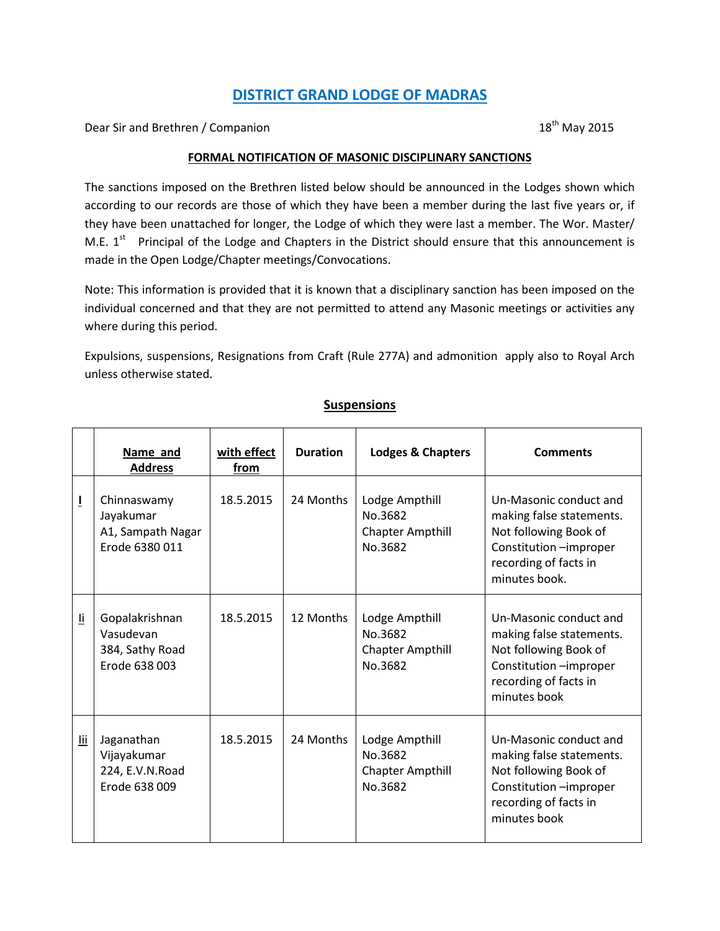## **DISTRICT GRAND LODGE OF MADRAS**

Dear Sir and Brethren / Companion 18<sup>th</sup> May 2015

#### **FORMAL NOTIFICATION OF MASONIC DISCIPLINARY SANCTIONS**

The sanctions imposed on the Brethren listed below should be announced in the Lodges shown which according to our records are those of which they have been a member during the last five years or, if they have been unattached for longer, the Lodge of which they were last a member. The Wor. Master/ M.E.  $1^{st}$  Principal of the Lodge and Chapters in the District should ensure that this announcement is made in the Open Lodge/Chapter meetings/Convocations.

Note: This information is provided that it is known that a disciplinary sanction has been imposed on the individual concerned and that they are not permitted to attend any Masonic meetings or activities any where during this period.

Expulsions, suspensions, Resignations from Craft (Rule 277A) and admonition apply also to Royal Arch unless otherwise stated.

|                         | Name and<br><b>Address</b>                                      | with effect<br>from | <b>Duration</b> | <b>Lodges &amp; Chapters</b>                                    | <b>Comments</b>                                                                                                                                 |
|-------------------------|-----------------------------------------------------------------|---------------------|-----------------|-----------------------------------------------------------------|-------------------------------------------------------------------------------------------------------------------------------------------------|
| Ī                       | Chinnaswamy<br>Jayakumar<br>A1, Sampath Nagar<br>Erode 6380 011 | 18.5.2015           | 24 Months       | Lodge Ampthill<br>No.3682<br><b>Chapter Ampthill</b><br>No.3682 | Un-Masonic conduct and<br>making false statements.<br>Not following Book of<br>Constitution -improper<br>recording of facts in<br>minutes book. |
| $\overline{\mathbf{u}}$ | Gopalakrishnan<br>Vasudevan<br>384, Sathy Road<br>Erode 638 003 | 18.5.2015           | 12 Months       | Lodge Ampthill<br>No.3682<br><b>Chapter Ampthill</b><br>No.3682 | Un-Masonic conduct and<br>making false statements.<br>Not following Book of<br>Constitution -improper<br>recording of facts in<br>minutes book  |
| $\overline{\text{iii}}$ | Jaganathan<br>Vijayakumar<br>224, E.V.N.Road<br>Erode 638 009   | 18.5.2015           | 24 Months       | Lodge Ampthill<br>No.3682<br><b>Chapter Ampthill</b><br>No.3682 | Un-Masonic conduct and<br>making false statements.<br>Not following Book of<br>Constitution -improper<br>recording of facts in<br>minutes book  |

### **Suspensions**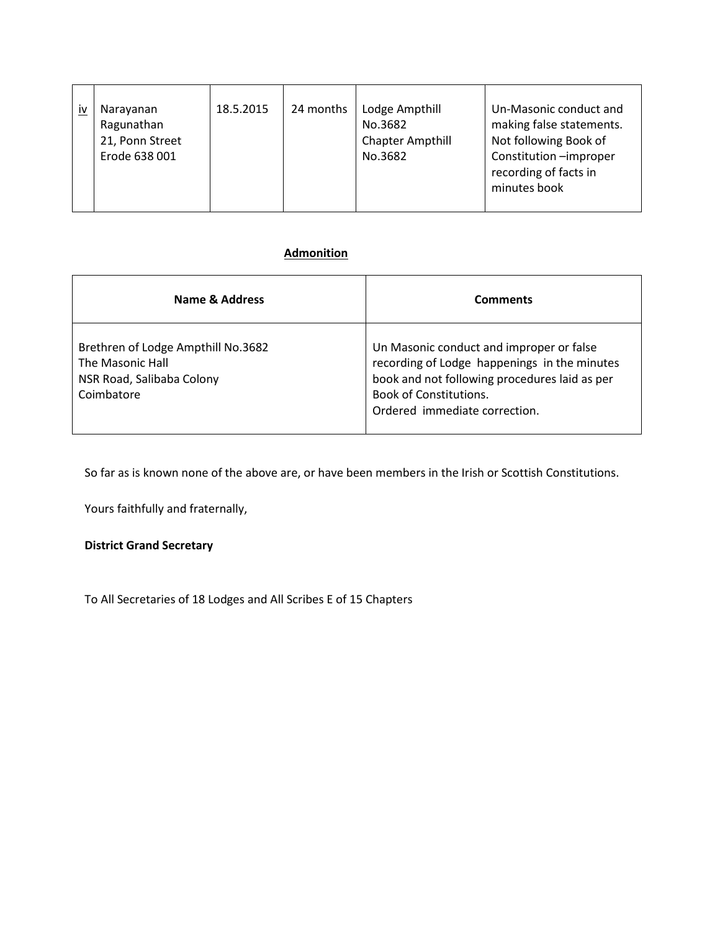| <u>iv</u> | Narayanan<br>Ragunathan<br>21, Ponn Street<br>Erode 638 001 | 18.5.2015 | 24 months | Lodge Ampthill<br>No.3682<br><b>Chapter Ampthill</b><br>No.3682 | Un-Masonic conduct and<br>making false statements.<br>Not following Book of<br>Constitution -improper<br>recording of facts in<br>minutes book |
|-----------|-------------------------------------------------------------|-----------|-----------|-----------------------------------------------------------------|------------------------------------------------------------------------------------------------------------------------------------------------|

## **Admonition**

| Name & Address                                                                                    | <b>Comments</b>                                                                                                                                                                                             |
|---------------------------------------------------------------------------------------------------|-------------------------------------------------------------------------------------------------------------------------------------------------------------------------------------------------------------|
| Brethren of Lodge Ampthill No.3682<br>The Masonic Hall<br>NSR Road, Salibaba Colony<br>Coimbatore | Un Masonic conduct and improper or false<br>recording of Lodge happenings in the minutes<br>book and not following procedures laid as per<br><b>Book of Constitutions.</b><br>Ordered immediate correction. |

So far as is known none of the above are, or have been members in the Irish or Scottish Constitutions.

Yours faithfully and fraternally,

## **District Grand Secretary**

To All Secretaries of 18 Lodges and All Scribes E of 15 Chapters